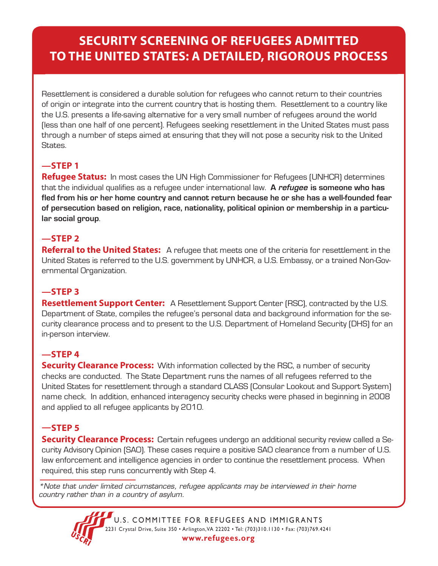# **SECURITY SCREENING OF REFUGEES ADMITTED TO THE UNITED STATES: A DETAILED, RIGOROUS PROCESS**

Resettlement is considered a durable solution for refugees who cannot return to their countries of origin or integrate into the current country that is hosting them. Resettlement to a country like the U.S. presents a life-saving alternative for a very small number of refugees around the world (less than one half of one percent). Refugees seeking resettlement in the United States must pass through a number of steps aimed at ensuring that they will not pose a security risk to the United States.

# **—STEP 1**

**Refugee Status:** In most cases the UN High Commissioner for Refugees (UNHCR) determines that the individual qualifies as a refugee under international law. **A** *refugee* **is someone who has fled from his or her home country and cannot return because he or she has a well-founded fear of persecution based on religion, race, nationality, political opinion or membership in a particular social group**.

### **—STEP 2**

**Referral to the United States:** A refugee that meets one of the criteria for resettlement in the United States is referred to the U.S. government by UNHCR, a U.S. Embassy, or a trained Non-Governmental Organization.

#### **—STEP 3**

**Resettlement Support Center:** A Resettlement Support Center (RSC), contracted by the U.S. Department of State, compiles the refugee's personal data and background information for the security clearance process and to present to the U.S. Department of Homeland Security (DHS) for an in-person interview.

### **—STEP 4**

**Security Clearance Process:** With information collected by the RSC, a number of security checks are conducted. The State Department runs the names of all refugees referred to the United States for resettlement through a standard CLASS (Consular Lookout and Support System) name check. In addition, enhanced interagency security checks were phased in beginning in 2008 and applied to all refugee applicants by 2010.

### **—STEP 5**

**Security Clearance Process:** Certain refugees undergo an additional security review called a Security Advisory Opinion (SAO). These cases require a positive SAO clearance from a number of U.S. law enforcement and intelligence agencies in order to continue the resettlement process. When required, this step runs concurrently with Step 4.

*\*Note that under limited circumstances, refugee applicants may be interviewed in their home country rather than in a country of asylum.*